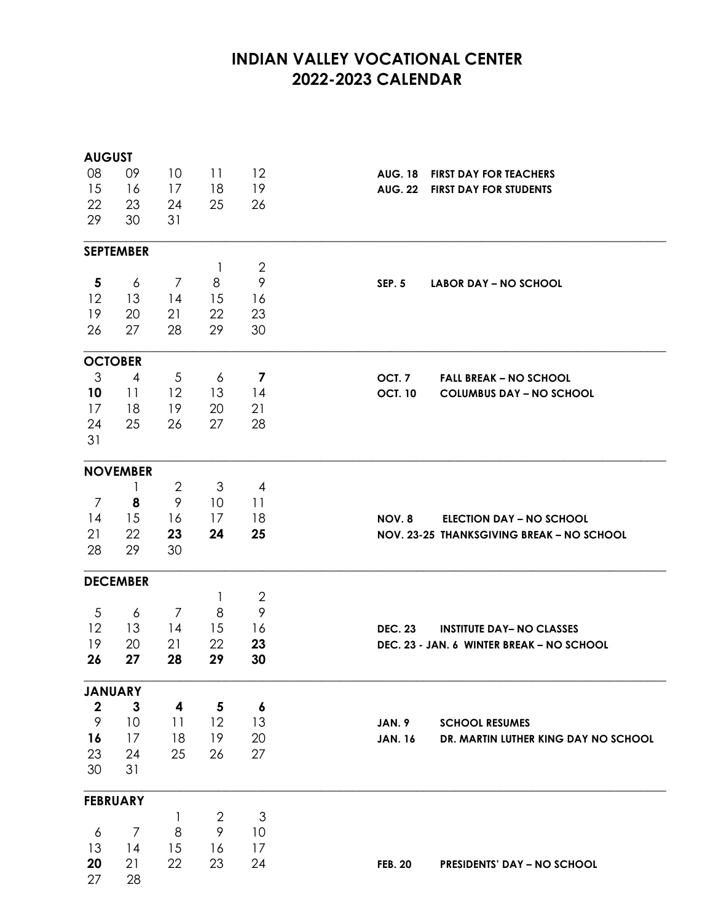## **INDIAN VALLEY VOCATIONAL CENTER 2022-2023 CALENDAR**

| <b>AUGUST</b>    |                  |                |                |                         |                                                        |
|------------------|------------------|----------------|----------------|-------------------------|--------------------------------------------------------|
| 08               | 09               | 10             | 11             | 12                      | <b>AUG. 18</b><br><b>FIRST DAY FOR TEACHERS</b>        |
| 15               | 16               | 17             | 18             | 19                      | FIRST DAY FOR STUDENTS<br><b>AUG. 22</b>               |
| 22               | 23               | 24             | 25             | 26                      |                                                        |
| 29               | 30               | 31             |                |                         |                                                        |
|                  | <b>SEPTEMBER</b> |                |                |                         |                                                        |
|                  |                  |                | $\mathbf{1}$   | $\mathbf{2}$            |                                                        |
| 5                | 6                | $\overline{7}$ | 8              | 9                       | <b>SEP. 5</b><br><b>LABOR DAY – NO SCHOOL</b>          |
| 12               | 13               | 14             | 15             | 16                      |                                                        |
| 19               | 20               | 21             | 22             | 23                      |                                                        |
| 26               | 27               | 28             | 29             | 30                      |                                                        |
|                  | <b>OCTOBER</b>   |                |                |                         |                                                        |
| $\mathfrak{Z}$   | 4                | 5              | 6              | $\overline{\mathbf{z}}$ | OCT. <sub>7</sub><br><b>FALL BREAK - NO SCHOOL</b>     |
| 10               | 11               | 12             | 13             | 14                      | <b>OCT. 10</b><br><b>COLUMBUS DAY - NO SCHOOL</b>      |
| 17               | 18               | 19             | 20             | 21                      |                                                        |
| 24               | 25               | 26             | 27             | 28                      |                                                        |
| 31               |                  |                |                |                         |                                                        |
|                  | <b>NOVEMBER</b>  |                |                |                         |                                                        |
|                  | 1                | $\mathbf{2}$   | 3              | $\overline{A}$          |                                                        |
| 7                | 8                | 9              | 10             | 11                      |                                                        |
| 14               | 15               | 16             | 17             | 18                      | NOV.8<br><b>ELECTION DAY – NO SCHOOL</b>               |
| 21               | 22               | 23             | 24             | 25                      | NOV. 23-25 THANKSGIVING BREAK - NO SCHOOL              |
| 28               | 29               | 30             |                |                         |                                                        |
|                  | <b>DECEMBER</b>  |                |                |                         |                                                        |
|                  |                  |                | 1              | $\mathbf{2}$            |                                                        |
| 5                | 6                | 7              | 8              | 9                       |                                                        |
| 12               | 13               | 14             | 15             | 16                      | <b>DEC. 23</b><br><b>INSTITUTE DAY- NO CLASSES</b>     |
| 19               | 20               | 21             | 22             | 23                      | DEC. 23 - JAN. 6 WINTER BREAK - NO SCHOOL              |
| 26               | 27               | 28             | 29             | 30                      |                                                        |
|                  | <b>JANUARY</b>   |                |                |                         |                                                        |
| $\boldsymbol{2}$ | $\mathbf{3}$     | 4              | 5              | $\boldsymbol{6}$        |                                                        |
| $\mathcal{P}$    | 10               | 11             | 12             | 13                      | JAN. 9<br><b>SCHOOL RESUMES</b>                        |
| 16               | 17               | 18             | 19             | 20                      | DR. MARTIN LUTHER KING DAY NO SCHOOL<br><b>JAN. 16</b> |
| 23               | - 24             | 25             | 26             | 27                      |                                                        |
| 30               | 31               |                |                |                         |                                                        |
|                  | <b>FEBRUARY</b>  |                |                |                         |                                                        |
|                  |                  | 1              | $\overline{2}$ | $\mathfrak{Z}$          |                                                        |
| 6                | 7                | 8              | 9              | 10                      |                                                        |
| 13               | 14               | 15             | 16             | 17                      |                                                        |
| 20               | 21               | 22             | 23             | 24                      | <b>PRESIDENTS' DAY - NO SCHOOL</b><br><b>FEB. 20</b>   |
| 27               | 28               |                |                |                         |                                                        |